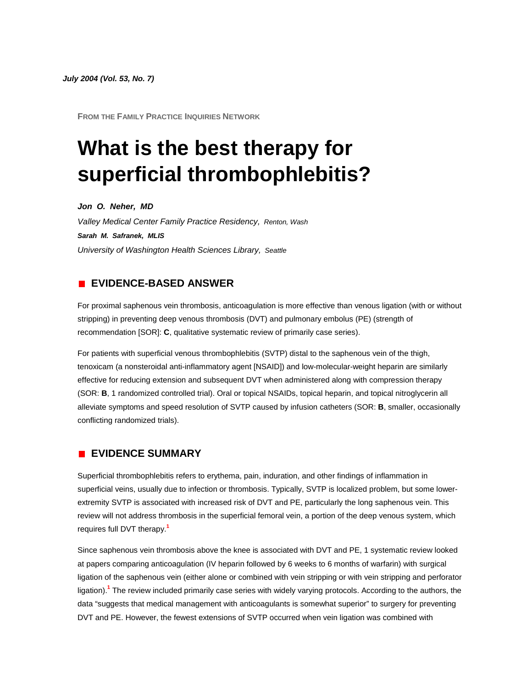*July 2004 (Vol. 53, No. 7)*

**FROM THE FAMILY PRACTICE INQUIRIES NETWORK**

# **What is the best therapy for superficial thrombophlebitis?**

*Jon O. Neher, MD*

*Valley Medical Center Family Practice Residency, Renton, Wash Sarah M. Safranek, MLIS University of Washington Health Sciences Library, Seattle*

# **EVIDENCE-BASED ANSWER**

For proximal saphenous vein thrombosis, anticoagulation is more effective than venous ligation (with or without stripping) in preventing deep venous thrombosis (DVT) and pulmonary embolus (PE) (strength of recommendation [SOR]: **C**, qualitative systematic review of primarily case series).

For patients with superficial venous thrombophlebitis (SVTP) distal to the saphenous vein of the thigh, tenoxicam (a nonsteroidal anti-inflammatory agent [NSAID]) and low-molecular-weight heparin are similarly effective for reducing extension and subsequent DVT when administered along with compression therapy (SOR: **B**, 1 randomized controlled trial). Oral or topical NSAIDs, topical heparin, and topical nitroglycerin all alleviate symptoms and speed resolution of SVTP caused by infusion catheters (SOR: **B**, smaller, occasionally conflicting randomized trials).

## **EVIDENCE SUMMARY**

Superficial thrombophlebitis refers to erythema, pain, induration, and other findings of inflammation in superficial veins, usually due to infection or thrombosis. Typically, SVTP is localized problem, but some lowerextremity SVTP is associated with increased risk of DVT and PE, particularly the long saphenous vein. This review will not address thrombosis in the superficial femoral vein, a portion of the deep venous system, which requires full DVT therap[y.](http://www.jfponline.com/Pages.asp?AID=1735&issue=July_2004&UID=#bib1)**<sup>1</sup>**

Since saphenous vein thrombosis above the knee is associated with DVT and PE, 1 systematic review looked at papers comparing anticoagulation (IV heparin followed by 6 weeks to 6 months of warfarin) with surgical ligation of the saphenous vein (either alone or combined with vein stripping or with vein stripping and perforator ligation[\).](http://www.jfponline.com/Pages.asp?AID=1735&issue=July_2004&UID=#bib1)**<sup>1</sup>** The review included primarily case series with widely varying protocols. According to the authors, the data "suggests that medical management with anticoagulants is somewhat superior" to surgery for preventing DVT and PE. However, the fewest extensions of SVTP occurred when vein ligation was combined with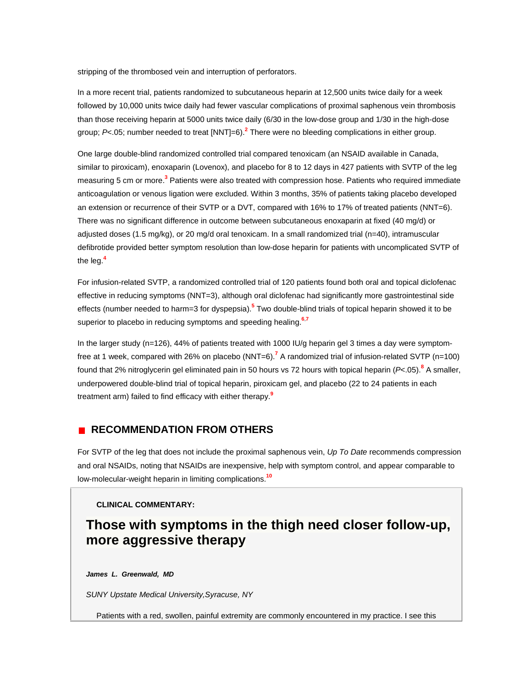stripping of the thrombosed vein and interruption of perforators.

In a more recent trial, patients randomized to subcutaneous heparin at 12,500 units twice daily for a week followed by 10,000 units twice daily had fewer vascular complications of proximal saphenous vein thrombosis than those receiving heparin at 5000 units twice daily (6/30 in the low-dose group and 1/30 in the high-dose group; *P*<.05; number needed to treat [NNT]=6[\).](http://www.jfponline.com/Pages.asp?AID=1735&issue=July_2004&UID=#bib2)**<sup>2</sup>** There were no bleeding complications in either group.

One large double-blind randomized controlled trial compared tenoxicam (an NSAID available in Canada, similar to piroxicam), enoxaparin (Lovenox), and placebo for 8 to 12 days in 427 patients with SVTP of the leg measuring 5 cm or mor[e.](http://www.jfponline.com/Pages.asp?AID=1735&issue=July_2004&UID=#bib3)**<sup>3</sup>** Patients were also treated with compression hose. Patients who required immediate anticoagulation or venous ligation were excluded. Within 3 months, 35% of patients taking placebo developed an extension or recurrence of their SVTP or a DVT, compared with 16% to 17% of treated patients (NNT=6). There was no significant difference in outcome between subcutaneous enoxaparin at fixed (40 mg/d) or adjusted doses (1.5 mg/kg), or 20 mg/d oral tenoxicam. In a small randomized trial (n=40), intramuscular defibrotide provided better symptom resolution than low-dose heparin for patients with uncomplicated SVTP of the le[g.](http://www.jfponline.com/Pages.asp?AID=1735&issue=July_2004&UID=#bib4)**<sup>4</sup>**

For infusion-related SVTP, a randomized controlled trial of 120 patients found both oral and topical diclofenac effective in reducing symptoms (NNT=3), although oral diclofenac had significantly more gastrointestinal side effects (number needed to harm=3 for dyspepsia[\).](http://www.jfponline.com/Pages.asp?AID=1735&issue=July_2004&UID=#bib5)**<sup>5</sup>** Two double-blind trials of topical heparin showed it to be superior to placebo in reducing symptoms and speeding healin[g.](http://www.jfponline.com/Pages.asp?AID=1735&issue=July_2004&UID=#bib6)**<sup>6</sup>**,**[7](http://www.jfponline.com/Pages.asp?AID=1735&issue=July_2004&UID=#bib7)**

In the larger study (n=126), 44% of patients treated with 1000 IU/g heparin gel 3 times a day were symptomfree at 1 week, compared with 26% on placebo (NNT=6[\).](http://www.jfponline.com/Pages.asp?AID=1735&issue=July_2004&UID=#bib7)**<sup>7</sup>** A randomized trial of infusion-related SVTP (n=100) found that 2% nitroglycerin gel eliminated pain in 50 hours vs 72 hours with topical heparin (*P*<.05[\).](http://www.jfponline.com/Pages.asp?AID=1735&issue=July_2004&UID=#bib8)**<sup>8</sup>** A smaller, underpowered double-blind trial of topical heparin, piroxicam gel, and placebo (22 to 24 patients in each treatment arm) failed to find efficacy with either therap[y.](http://www.jfponline.com/Pages.asp?AID=1735&issue=July_2004&UID=#bib9)**<sup>9</sup>**

#### **RECOMMENDATION FROM OTHERS**  $\mathbf{r}$

For SVTP of the leg that does not include the proximal saphenous vein, *Up To Date* recommends compression and oral NSAIDs, noting that NSAIDs are inexpensive, help with symptom control, and appear comparable to low-molecular-weight heparin in limiting complications.**[10](http://www.jfponline.com/Pages.asp?AID=1735&issue=July_2004&UID=#bib10)**

### **CLINICAL COMMENTARY:**

# **Those with symptoms in the thigh need closer follow-up, more aggressive therapy**

*James L. Greenwald, MD*

*SUNY Upstate Medical University,Syracuse, NY*

Patients with a red, swollen, painful extremity are commonly encountered in my practice. I see this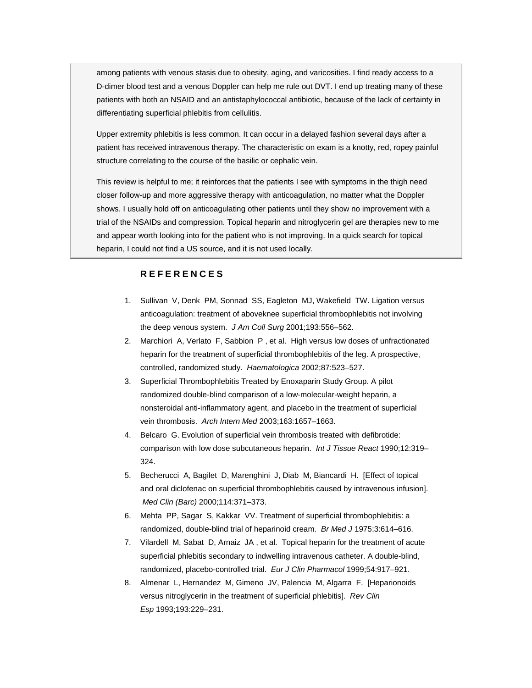among patients with venous stasis due to obesity, aging, and varicosities. I find ready access to a D-dimer blood test and a venous Doppler can help me rule out DVT. I end up treating many of these patients with both an NSAID and an antistaphylococcal antibiotic, because of the lack of certainty in differentiating superficial phlebitis from cellulitis.

Upper extremity phlebitis is less common. It can occur in a delayed fashion several days after a patient has received intravenous therapy. The characteristic on exam is a knotty, red, ropey painful structure correlating to the course of the basilic or cephalic vein.

This review is helpful to me; it reinforces that the patients I see with symptoms in the thigh need closer follow-up and more aggressive therapy with anticoagulation, no matter what the Doppler shows. I usually hold off on anticoagulating other patients until they show no improvement with a trial of the NSAIDs and compression. Topical heparin and nitroglycerin gel are therapies new to me and appear worth looking into for the patient who is not improving. In a quick search for topical heparin, I could not find a US source, and it is not used locally.

### **REFERENCES**

- 1. Sullivan V, Denk PM, Sonnad SS, Eagleton MJ, Wakefield TW. Ligation versus anticoagulation: treatment of aboveknee superficial thrombophlebitis not involving the deep venous system. *J Am Coll Surg* 2001;193:556–562.
- 2. Marchiori A, Verlato F, Sabbion P , et al. High versus low doses of unfractionated heparin for the treatment of superficial thrombophlebitis of the leg. A prospective, controlled, randomized study. *Haematologica* 2002;87:523–527.
- 3. Superficial Thrombophlebitis Treated by Enoxaparin Study Group. A pilot randomized double-blind comparison of a low-molecular-weight heparin, a nonsteroidal anti-inflammatory agent, and placebo in the treatment of superficial vein thrombosis. *Arch Intern Med* 2003;163:1657–1663.
- 4. Belcaro G. Evolution of superficial vein thrombosis treated with defibrotide: comparison with low dose subcutaneous heparin. *Int J Tissue React* 1990;12:319– 324.
- 5. Becherucci A, Bagilet D, Marenghini J, Diab M, Biancardi H. [Effect of topical and oral diclofenac on superficial thrombophlebitis caused by intravenous infusion]. *Med Clin (Barc)* 2000;114:371–373.
- 6. Mehta PP, Sagar S, Kakkar VV. Treatment of superficial thrombophlebitis: a randomized, double-blind trial of heparinoid cream. *Br Med J* 1975;3:614–616.
- 7. Vilardell M, Sabat D, Arnaiz JA , et al. Topical heparin for the treatment of acute superficial phlebitis secondary to indwelling intravenous catheter. A double-blind, randomized, placebo-controlled trial. *Eur J Clin Pharmacol* 1999;54:917–921.
- 8. Almenar L, Hernandez M, Gimeno JV, Palencia M, Algarra F. [Heparionoids versus nitroglycerin in the treatment of superficial phlebitis]. *Rev Clin Esp* 1993;193:229–231.